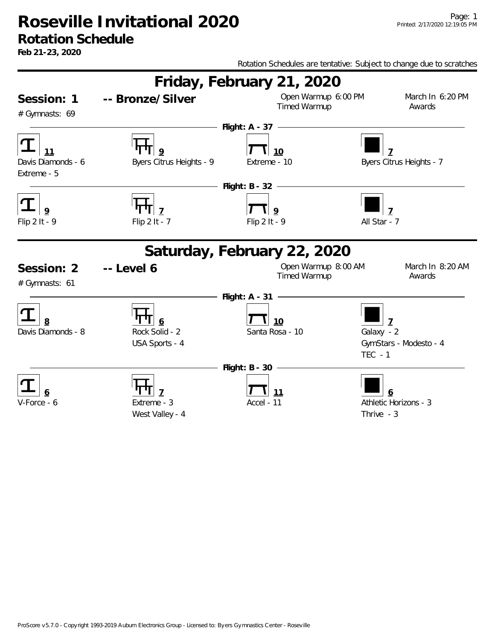#### **Rotation Schedule**

**Feb 21-23, 2020**

Rotation Schedules are tentative: Subject to change due to scratches

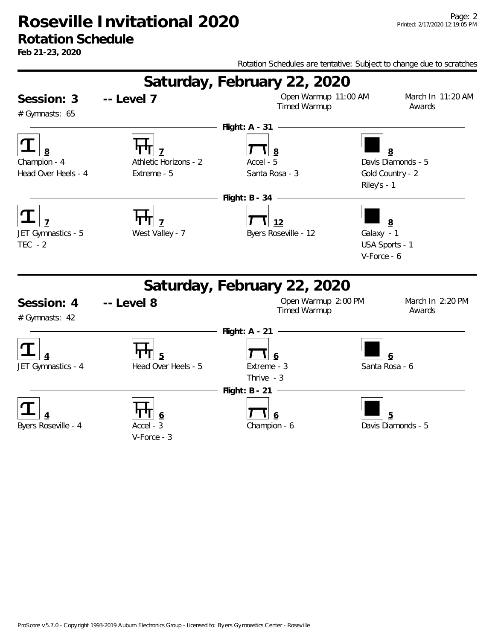#### **Rotation Schedule**

**Feb 21-23, 2020**

Rotation Schedules are tentative: Subject to change due to scratches



V-Force - 3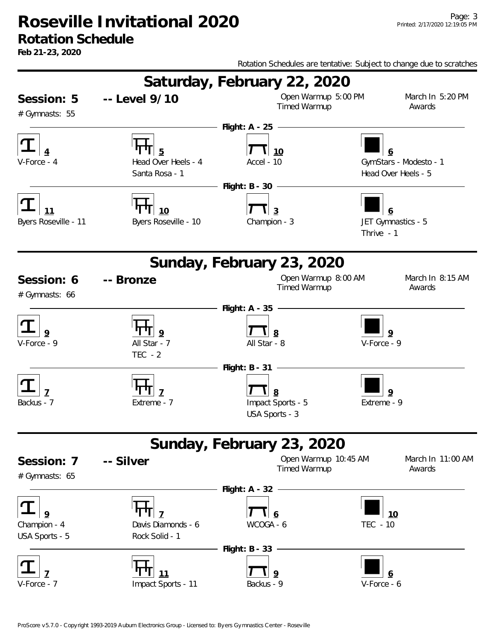**Feb 21-23, 2020**

Rotation Schedules are tentative: Subject to change due to scratches Session: 5 **Saturday, February 22, 2020 Session: Level 9/10** Open Warmup 5:00 PM March In 5:20 PM **--** # Gymnasts: 55 Timed Warmup **Awards 4 5 10 6 Flight: A - 25**  V-Force - 4 Head Over Heels - 4 Accel - 10 GymStars - Modesto - 1 Santa Rosa - 1 **Head Over Heels - 5 11 10 3 6 Flight: B - 30**  Byers Roseville - 11 Byers Roseville - 10 Champion - 3 JET Gymnastics - 5 Thrive - 1 Session: 6 **Sunday, February 23, 2020 Seart Open Warmup 8:00 AM March In 8:15 AM March In 8:15 AM** # Gymnasts: 66 **Timed Warmup -- 9 9 8 9 Flight: A - 35**  V-Force - 9 All Star - 7 All Star - 8 V-Force - 9  $TFC - 2$ **7 7 8 9 Flight: B - 31**  Backus - 7 Extreme - 7 Impact Sports - 5 Extreme - 9 USA Sports - 3 Session: 7 **Sunday, February 23, 2020 Seart Open Warmup 10:45 AM March In 11:00 AM March In 11:00 AM** # Gymnasts: 65 **Timed Warmup -- 9 7 6 10 Flight: A - 32**  Champion - 4 Davis Diamonds - 6 WCOGA - 6 TEC - 10 USA Sports - 5 Rock Solid - 1 **7 11 9 6 Flight: B - 33**  V-Force - 7 Impact Sports - 11 Backus - 9 V-Force - 6